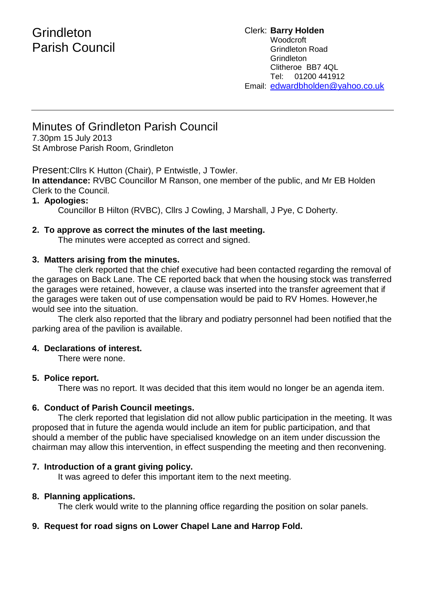# **Grindleton** Parish Council

Clerk: **Barry Holden** Woodcroft Grindleton Road **Grindleton** Clitheroe BB7 4QL Tel: 01200 441912 Email: [edwardbholden@yahoo.co.uk](mailto:edwardbholden@yahoo.co.uk)

## Minutes of Grindleton Parish Council

7.30pm 15 July 2013 St Ambrose Parish Room, Grindleton

Present:Cllrs K Hutton (Chair), P Entwistle, J Towler.

**In attendance:** RVBC Councillor M Ranson, one member of the public, and Mr EB Holden Clerk to the Council.

## **1. Apologies:**

Councillor B Hilton (RVBC), Cllrs J Cowling, J Marshall, J Pye, C Doherty.

## **2. To approve as correct the minutes of the last meeting.**

The minutes were accepted as correct and signed.

## **3. Matters arising from the minutes.**

The clerk reported that the chief executive had been contacted regarding the removal of the garages on Back Lane. The CE reported back that when the housing stock was transferred the garages were retained, however, a clause was inserted into the transfer agreement that if the garages were taken out of use compensation would be paid to RV Homes. However,he would see into the situation.

The clerk also reported that the library and podiatry personnel had been notified that the parking area of the pavilion is available.

## **4. Declarations of interest.**

There were none.

### **5. Police report.**

There was no report. It was decided that this item would no longer be an agenda item.

## **6. Conduct of Parish Council meetings.**

The clerk reported that legislation did not allow public participation in the meeting. It was proposed that in future the agenda would include an item for public participation, and that should a member of the public have specialised knowledge on an item under discussion the chairman may allow this intervention, in effect suspending the meeting and then reconvening.

## **7. Introduction of a grant giving policy.**

It was agreed to defer this important item to the next meeting.

### **8. Planning applications.**

The clerk would write to the planning office regarding the position on solar panels.

## **9. Request for road signs on Lower Chapel Lane and Harrop Fold.**